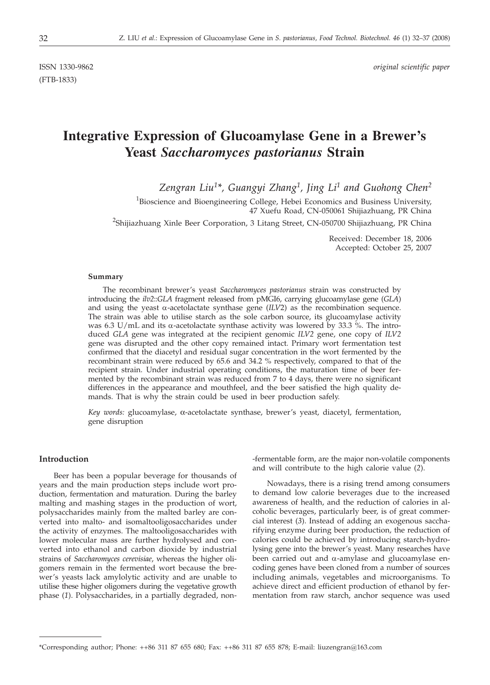(FTB-1833)

# **Integrative Expression of Glucoal Strain**<br> **Yeast** *Saccharomyces pastorianus* **Strain**

*Zengran Liu1\*, Guangyi Zhang1, Jing Li1 and Guohong Chen2*

<sup>1</sup>Bioscience and Bioengineering College, Hebei Economics and Business University, 47 Xuefu Road, CN-050061 Shijiazhuang, PR China

<sup>2</sup>Shijiazhuang Xinle Beer Corporation, 3 Litang Street, CN-050700 Shijiazhuang, PR China

Received: December 18, 2006 Accepted: October 25, 2007

#### **Summary**

The recombinant brewer's yeast *Saccharomyces pastorianus* strain was constructed by introducing the *ilv2*::*GLA* fragment released from pMGI6, carrying glucoamylase gene (*GLA*) and using the yeast  $\alpha$ -acetolactate synthase gene (*ILV2*) as the recombination sequence. The strain was able to utilise starch as the sole carbon source, its glucoamylase activity was 6.3 U/mL and its  $\alpha$ -acetolactate synthase activity was lowered by 33.3 %. The introduced *GLA* gene was integrated at the recipient genomic *ILV2* gene, one copy of *ILV2* gene was disrupted and the other copy remained intact. Primary wort fermentation test confirmed that the diacetyl and residual sugar concentration in the wort fermented by the recombinant strain were reduced by 65.6 and 34.2 % respectively, compared to that of the recipient strain. Under industrial operating conditions, the maturation time of beer fermented by the recombinant strain was reduced from 7 to 4 days, there were no significant differences in the appearance and mouthfeel, and the beer satisfied the high quality demands. That is why the strain could be used in beer production safely.

*Key words:* glucoamylase, α-acetolactate synthase, brewer's yeast, diacetyl, fermentation, gene disruption

## **Introduction**

Beer has been a popular beverage for thousands of years and the main production steps include wort production, fermentation and maturation. During the barley malting and mashing stages in the production of wort, polysaccharides mainly from the malted barley are converted into malto- and isomaltooligosaccharides under the activity of enzymes. The maltooligosaccharides with lower molecular mass are further hydrolysed and converted into ethanol and carbon dioxide by industrial strains of *Saccharomyces cerevisiae*, whereas the higher oligomers remain in the fermented wort because the brewer's yeasts lack amylolytic activity and are unable to utilise these higher oligomers during the vegetative growth phase (*1*). Polysaccharides, in a partially degraded, non-fermentable form, are the major non-volatile components and will contribute to the high calorie value (*2*).

Nowadays, there is a rising trend among consumers to demand low calorie beverages due to the increased awareness of health, and the reduction of calories in alcoholic beverages, particularly beer, is of great commercial interest (*3*). Instead of adding an exogenous saccharifying enzyme during beer production, the reduction of calories could be achieved by introducing starch-hydrolysing gene into the brewer's yeast. Many researches have been carried out and  $\alpha$ -amylase and glucoamylase encoding genes have been cloned from a number of sources including animals, vegetables and microorganisms. To achieve direct and efficient production of ethanol by fermentation from raw starch, anchor sequence was used

<sup>\*</sup>Corresponding author; Phone: ++86 311 87 655 680; Fax: ++86 311 87 655 878; E-mail: liuzengran*@*163.com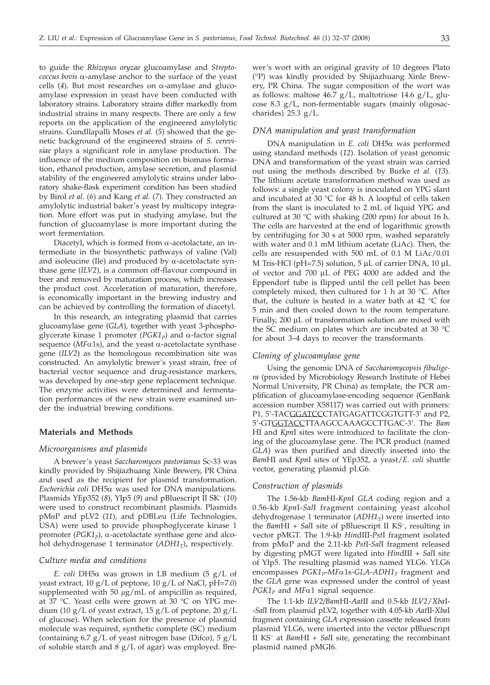to guide the *Rhizopus oryzae* glucoamylase and *Streptococcus bovis* a-amylase anchor to the surface of the yeast cells  $(4)$ . But most researches on  $\alpha$ -amylase and glucoamylase expression in yeast have been conducted with laboratory strains. Laboratory strains differ markedly from industrial strains in many respects. There are only a few reports on the application of the engineered amylolytic strains. Gundllapalli Moses *et al.* (*5*) showed that the genetic background of the engineered strains of *S. cerevisiae* plays a significant role in amylase production. The influence of the medium composition on biomass formation, ethanol production, amylase secretion, and plasmid stability of the engineered amylolytic strains under laboratory shake-flask experiment condition has been studied by Birol *et al.* (*6*) and Kang *et al.* (*7*). They constructed an amylolytic industrial baker's yeast by multicopy integration. More effort was put in studying amylase, but the function of glucoamylase is more important during the wort fermentation.

Diacetyl, which is formed from  $\alpha$ -acetolactate, an intermediate in the biosynthetic pathways of valine (Val) and isoleucine (Ile) and produced by  $\alpha$ -acetolactate synthase gene (*ILV2*), is a common off-flavour compound in beer and removed by maturation process, which increases the product cost. Acceleration of maturation, therefore, is economically important in the brewing industry and can be achieved by controlling the formation of diacetyl.

In this research, an integrating plasmid that carries glucoamylase gene (*GLA*), together with yeast 3-phosphoglycerate kinase 1 promoter  $(PGK1<sub>p</sub>)$  and  $\alpha$ -factor signal sequence ( $MF\alpha1s$ ), and the yeast  $\alpha$ -acetolactate synthase gene (*ILV2*) as the homologous recombination site was constructed. An amylolytic brewer's yeast strain, free of bacterial vector sequence and drug-resistance markers, was developed by one-step gene replacement technique. The enzyme activities were determined and fermentation performances of the new strain were examined under the industrial brewing conditions.

#### **Materials and Methods**

#### *Microorganisms and plasmids*

A brewer's yeast *Saccharomyces pastorianus* Sc-33 was kindly provided by Shijiazhuang Xinle Brewery, PR China and used as the recipient for plasmid transformation. *Escherichia coli* DH5a was used for DNA manipulations. Plasmids YEp352 (*8*), YIp5 (*9*) and pBluescript II SK<sup>−</sup> (*10*) were used to construct recombinant plasmids. Plasmids pMáP and pLV2 (*11*), and pDBLeu (Life Technologies, USA) were used to provide phosphoglycerate kinase 1 promoter  $(PGK1<sub>p</sub>)$ ,  $\alpha$ -acetolactate synthase gene and alcohol dehydrogenase 1 terminator (ADH1<sub>T</sub>), respectively.

#### *Culture media and conditions*

*E. coli* DH5 $\alpha$  was grown in LB medium (5 g/L of yeast extract, 10 g/L of peptone, 10 g/L of NaCl, pH=7.0) supplemented with 50  $\mu$ g/mL of ampicillin as required, at 37 °C. Yeast cells were grown at 30 °C on YPG medium (10 g/L of yeast extract, 15 g/L of peptone, 20 g/L of glucose). When selection for the presence of plasmid molecule was required, synthetic complete (SC) medium (containing 6.7  $g/L$  of yeast nitrogen base (Difco), 5  $g/L$ of soluble starch and  $8 g/L$  of agar) was employed. Bre-

wer's wort with an original gravity of 10 degrees Plato (°P) was kindly provided by Shijiazhuang Xinle Brewery, PR China. The sugar composition of the wort was as follows: maltose 46.7 g/L, maltotriose 14.6 g/L, glucose 8.3 g/L, non-fermentable sugars (mainly oligosaccharides) 25.3 g/L.

# *DNA manipulation and yeast transformation*

DNA manipulation in *E. coli* DH5a was performed using standard methods (*12*). Isolation of yeast genomic DNA and transformation of the yeast strain was carried out using the methods described by Burke *et al.* (*13*). The lithium acetate transformation method was used as follows: a single yeast colony is inoculated on YPG slant and incubated at 30  $\degree$ C for 48 h. A loopful of cells taken from the slant is inoculated to 2 mL of liquid YPG and cultured at 30  $\degree$ C with shaking (200 rpm) for about 16 h. The cells are harvested at the end of logarithmic growth by centrifuging for 30 s at 5000 rpm, washed separately with water and 0.1 mM lithium acetate (LiAc). Then, the cells are resuspended with 500 mL of 0.1 M LiAc/0.01 M Tris-HCl (pH=7.5) solution, 5 µL of carrier DNA, 10 µL of vector and 700 µL of PEG 4000 are added and the Eppendorf tube is flipped until the cell pellet has been completely mixed, then cultured for 1 h at 30 °C. After that, the culture is heated in a water bath at  $42 \text{ °C}$  for 5 min and then cooled down to the room temperature. Finally, 200 µL of transformation solution are mixed with the SC medium on plates which are incubated at 30 °C for about 3–4 days to recover the transformants.

## *Cloning of glucoamylase gene*

Using the genomic DNA of *Saccharomycopsis fibuligera* (provided by Microbiology Research Institute of Hebei Normal University, PR China) as template, the PCR amplification of glucoamylase-encoding sequence (GenBank accession number X58117) was carried out with primers: P1, 5'-TACGGATCCCTATGAGATTCGGTGTT-3' and P2, 5'-GTGGTACCTTAAGCCAAAGCCTTGAC-3'. The *Bam* HI and *Kpn*I sites were introduced to facilitate the cloning of the glucoamylase gene. The PCR product (named *GLA*) was then purified and directly inserted into the *Bam*HI and *Kpn*I sites of YEp352, a yeast/*E. coli* shuttle vector, generating plasmid pLG6.

#### *Construction of plasmids*

The 1.56-kb *Bam*HI-*Kpn*I *GLA* coding region and a 0.56-kb *Kpn*I-*Sal*I fragment containing yeast alcohol dehydrogenase 1 terminator  $(ADH1<sub>T</sub>)$  were inserted into the *Bam*HI + *Sal*I site of pBluescript II KS<sup>−</sup>, resulting in vector pMGT. The 1.9-kb *Hin*dIII-*Pst*I fragment isolated from pMaP and the 2.11-kb *Pst*I-*Sal*I fragment released by digesting pMGT were ligated into *Hin*dIII + *Sal*I site of YIp5. The resulting plasmid was named YLG6. YLG6 encompasses  $PGK1_{p}$ -*MF* $\alpha$ 1s-*GLA*-*ADH* $1_{T}$  fragment and the *GLA* gene was expressed under the control of yeast  $PGK1<sub>p</sub>$  and *MF* $\alpha$ 1 signal sequence.

The 1.1-kb *ILV2/Bam*HI-*Aat*II and 0.5-kb *ILV2*/*Xba*I- -*Sal*I from plasmid pLV2, together with 4.05-kb *Aat*II-*Xba*I fragment containing *GLA* expression cassette released from plasmid YLG6, were inserted into the vector pBluescript II KS<sup>−</sup> at *Bam*HI + *Sal*I site, generating the recombinant plasmid named pMGI6.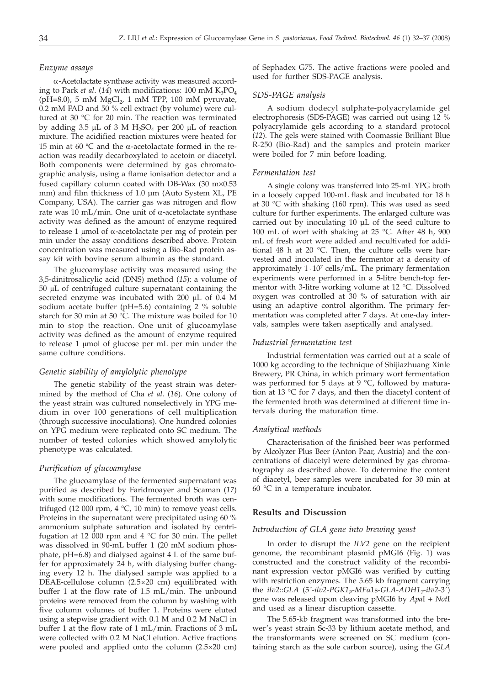#### *Enzyme assays*

a-Acetolactate synthase activity was measured according to Park *et al.* (14) with modifications: 100 mM  $K_3PO_4$ (pH=8.0), 5 mM  $MgCl<sub>2</sub>$ , 1 mM TPP, 100 mM pyruvate, 0.2 mM FAD and 50 % cell extract (by volume) were cultured at 30 °C for 20 min. The reaction was terminated by adding 3.5  $\mu$ L of 3 M H<sub>2</sub>SO<sub>4</sub> per 200  $\mu$ L of reaction mixture. The acidified reaction mixtures were heated for 15 min at 60  $\degree$ C and the  $\alpha$ -acetolactate formed in the reaction was readily decarboxylated to acetoin or diacetyl. Both components were determined by gas chromatographic analysis, using a flame ionisation detector and a fused capillary column coated with DB-Wax  $(30 \text{ m} \times 0.53)$ mm) and film thickness of 1.0  $\mu$ m (Auto System XL, PE Company, USA). The carrier gas was nitrogen and flow rate was 10 mL/min. One unit of  $\alpha$ -acetolactate synthase activity was defined as the amount of enzyme required to release 1  $\mu$ mol of  $\alpha$ -acetolactate per mg of protein per min under the assay conditions described above. Protein concentration was measured using a Bio-Rad protein assay kit with bovine serum albumin as the standard.

The glucoamylase activity was measured using the 3,5-dinitrosalicylic acid (DNS) method (*15*): a volume of 50 µL of centrifuged culture supernatant containing the secreted enzyme was incubated with  $200 \mu L$  of 0.4 M sodium acetate buffer (pH=5.6) containing 2 % soluble starch for 30 min at 50 °C. The mixture was boiled for 10 min to stop the reaction. One unit of glucoamylase activity was defined as the amount of enzyme required to release 1 µmol of glucose per mL per min under the same culture conditions.

## *Genetic stability of amylolytic phenotype*

The genetic stability of the yeast strain was determined by the method of Cha *et al*. (*16*). One colony of the yeast strain was cultured nonselectively in YPG medium in over 100 generations of cell multiplication (through successive inoculations). One hundred colonies on YPG medium were replicated onto SC medium. The number of tested colonies which showed amylolytic phenotype was calculated.

## *Purification of glucoamylase*

The glucoamylase of the fermented supernatant was purified as described by Faridmoayer and Scaman (*17*) with some modifications. The fermented broth was centrifuged (12 000 rpm,  $4 \text{ }^{\circ}C$ , 10 min) to remove yeast cells. Proteins in the supernatant were precipitated using 60 % ammonium sulphate saturation and isolated by centrifugation at 12 000 rpm and  $4 \degree C$  for 30 min. The pellet was dissolved in 90-mL buffer 1 (20 mM sodium phosphate, pH=6.8) and dialysed against 4 L of the same buffer for approximately 24 h, with dialysing buffer changing every 12 h. The dialysed sample was applied to a DEAE-cellulose column (2.5×20 cm) equilibrated with buffer 1 at the flow rate of 1.5 mL/min. The unbound proteins were removed from the column by washing with five column volumes of buffer 1. Proteins were eluted using a stepwise gradient with 0.1 M and 0.2 M NaCl in buffer 1 at the flow rate of 1 mL/min. Fractions of 3 mL were collected with 0.2 M NaCl elution. Active fractions were pooled and applied onto the column (2.5×20 cm)

of Sephadex G75. The active fractions were pooled and used for further SDS-PAGE analysis.

## *SDS-PAGE analysis*

A sodium dodecyl sulphate-polyacrylamide gel electrophoresis (SDS-PAGE) was carried out using 12 % polyacrylamide gels according to a standard protocol (*12*). The gels were stained with Coomassie Brilliant Blue R-250 (Bio-Rad) and the samples and protein marker were boiled for 7 min before loading.

## *Fermentation test*

A single colony was transferred into 25-mL YPG broth in a loosely capped 100-mL flask and incubated for 18 h at 30 °C with shaking (160 rpm). This was used as seed culture for further experiments. The enlarged culture was carried out by inoculating 10 µL of the seed culture to 100 mL of wort with shaking at 25 °C. After 48 h, 900 mL of fresh wort were added and recultivated for additional 48 h at 20 °C. Then, the culture cells were harvested and inoculated in the fermentor at a density of approximately  $1 \cdot 10^7$  cells/mL. The primary fermentation experiments were performed in a 5-litre bench-top fermentor with 3-litre working volume at 12 °C. Dissolved oxygen was controlled at 30 % of saturation with air using an adaptive control algorithm. The primary fermentation was completed after 7 days. At one-day intervals, samples were taken aseptically and analysed.

#### *Industrial fermentation test*

Industrial fermentation was carried out at a scale of 1000 kg according to the technique of Shijiazhuang Xinle Brewery, PR China, in which primary wort fermentation was performed for 5 days at 9  $°C$ , followed by maturation at 13 °C for 7 days, and then the diacetyl content of the fermented broth was determined at different time intervals during the maturation time.

#### *Analytical methods*

Characterisation of the finished beer was performed by Alcolyzer Plus Beer (Anton Paar, Austria) and the concentrations of diacetyl were determined by gas chromatography as described above. To determine the content of diacetyl, beer samples were incubated for 30 min at 60 °C in a temperature incubator.

#### **Results and Discussion**

# *Introduction of GLA gene into brewing yeast*

In order to disrupt the *ILV2* gene on the recipient genome, the recombinant plasmid pMGI6 (Fig. 1) was constructed and the construct validity of the recombinant expression vector pMGI6 was verified by cutting with restriction enzymes. The 5.65 kb fragment carrying the  $ilv2::GLA$  (5'- $ilv2$ -PGK1<sub>p</sub>-MF $\alpha$ 1s-GLA-ADH1<sub>T</sub>- $ilv2$ -3') gene was released upon cleaving pMGI6 by *Apa*I + *Not*I and used as a linear disruption cassette.

The 5.65-kb fragment was transformed into the brewer's yeast strain Sc-33 by lithium acetate method, and the transformants were screened on SC medium (containing starch as the sole carbon source), using the *GLA*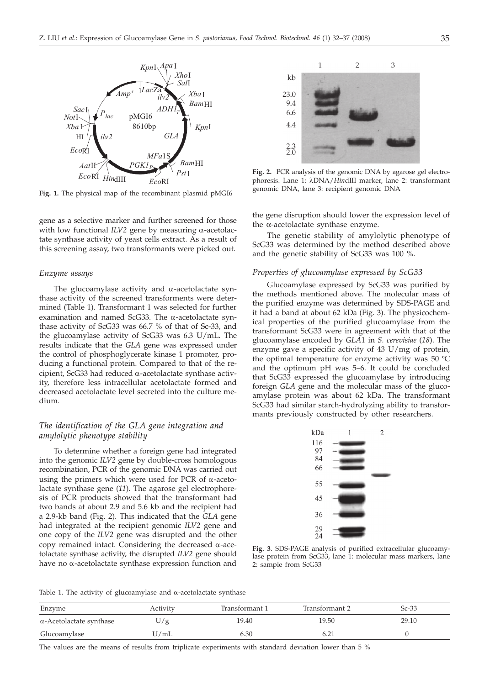

**Fig. 1.** The physical map of the recombinant plasmid pMGI6

gene as a selective marker and further screened for those with low functional  $ILV2$  gene by measuring  $\alpha$ -acetolactate synthase activity of yeast cells extract. As a result of this screening assay, two transformants were picked out.

# *Enzyme assays*

The glucoamylase activity and  $\alpha$ -acetolactate synthase activity of the screened transforments were determined (Table 1). Transformant 1 was selected for further examination and named ScG33. The  $\alpha$ -acetolactate synthase activity of ScG33 was 66.7 % of that of Sc-33, and the glucoamylase activity of ScG33 was 6.3 U/mL. The results indicate that the *GLA* gene was expressed under the control of phosphoglycerate kinase 1 promoter, producing a functional protein. Compared to that of the recipient, ScG33 had reduced  $\alpha$ -acetolactate synthase activity, therefore less intracellular acetolactate formed and decreased acetolactate level secreted into the culture medium.

# *The identification of the GLA gene integration and amylolytic phenotype stability*

To determine whether a foreign gene had integrated into the genomic *ILV2* gene by double-cross homologous recombination, PCR of the genomic DNA was carried out using the primers which were used for PCR of  $\alpha$ -acetolactate synthase gene (*11*). The agarose gel electrophoresis of PCR products showed that the transformant had two bands at about 2.9 and 5.6 kb and the recipient had a 2.9-kb band (Fig. 2). This indicated that the *GLA* gene had integrated at the recipient genomic *ILV2* gene and one copy of the *ILV2* gene was disrupted and the other copy remained intact. Considering the decreased  $\alpha$ -acetolactate synthase activity, the disrupted *ILV2* gene should have no  $\alpha$ -acetolactate synthase expression function and



**Fig. 2.** PCR analysis of the genomic DNA by agarose gel electrophoresis. Lane 1: λDNA/*Hin*dIII marker, lane 2: transformant genomic DNA, lane 3: recipient genomic DNA

the gene disruption should lower the expression level of the α-acetolactate synthase enzyme.

The genetic stability of amylolytic phenotype of ScG33 was determined by the method described above and the genetic stability of ScG33 was 100 %.

# *Properties of glucoamylase expressed by ScG33*

Glucoamylase expressed by ScG33 was purified by the methods mentioned above. The molecular mass of the purified enzyme was determined by SDS-PAGE and it had a band at about 62 kDa (Fig. 3). The physicochemical properties of the purified glucoamylase from the transformant ScG33 were in agreement with that of the glucoamylase encoded by *GLA*1 in *S. cerevisiae* (*18*). The enzyme gave a specific activity of 43 U/mg of protein, the optimal temperature for enzyme activity was 50 ºC and the optimum pH was 5–6. It could be concluded that ScG33 expressed the glucoamylase by introducing foreign *GLA* gene and the molecular mass of the glucoamylase protein was about 62 kDa. The transformant ScG33 had similar starch-hydrolyzing ability to transformants previously constructed by other researchers.



**Fig. 3**. SDS-PAGE analysis of purified extracellular glucoamylase protein from ScG33, lane 1: molecular mass markers, lane 2: sample from ScG33

Table 1. The activity of glucoamylase and  $\alpha$ -acetolactate synthase

| Enzyme                          | Activity | Transformant 1 | Transformant 2 | $Sc-33$ |
|---------------------------------|----------|----------------|----------------|---------|
| $\alpha$ -Acetolactate synthase | U/g      | 19.40          | 19.50          | 29.10   |
| Glucoamylase                    | 'J/mL    | 6.30           | 6.21           |         |

The values are the means of results from triplicate experiments with standard deviation lower than 5 %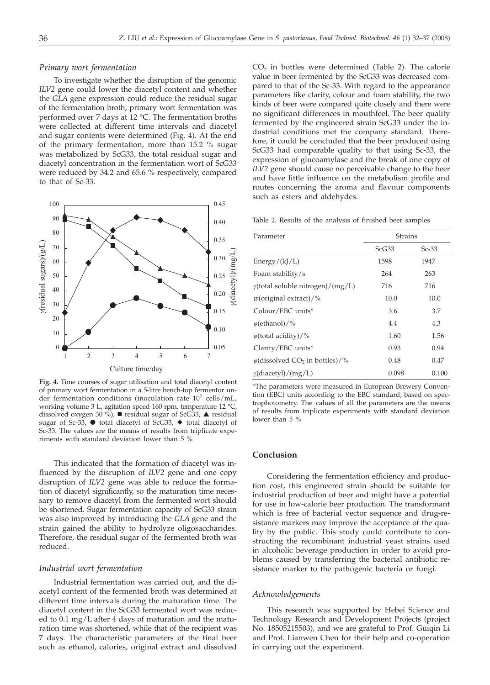#### *Primary wort fermentation*

To investigate whether the disruption of the genomic *ILV2* gene could lower the diacetyl content and whether the *GLA* gene expression could reduce the residual sugar of the fermentation broth, primary wort fermentation was performed over 7 days at 12 °C. The fermentation broths were collected at different time intervals and diacetyl and sugar contents were determined (Fig. 4). At the end of the primary fermentation, more than 15.2 % sugar was metabolized by ScG33, the total residual sugar and diacetyl concentration in the fermentation wort of ScG33 were reduced by 34.2 and 65.6 % respectively, compared to that of Sc-33.



**Fig. 4.** Time courses of sugar utilisation and total diacetyl content of primary wort fermentation in a 5-litre bench-top fermentor under fermentation conditions (inoculation rate  $10^7$  cells/mL, working volume 3 L, agitation speed 160 rpm, temperature 12 °C, dissolved oxygen 30 %), residual sugar of ScG33,  $\blacktriangle$  residual sugar of Sc-33, ● total diacetyl of ScG33, ◆ total diacetyl of Sc-33. The values are the means of results from triplicate experiments with standard deviation lower than 5 %

This indicated that the formation of diacetyl was influenced by the disruption of *ILV2* gene and one copy disruption of *ILV2* gene was able to reduce the formation of diacetyl significantly, so the maturation time necessary to remove diacetyl from the fermented wort should be shortened. Sugar fermentation capacity of ScG33 strain was also improved by introducing the *GLA* gene and the strain gained the ability to hydrolyze oligosaccharides. Therefore, the residual sugar of the fermented broth was reduced.

## *Industrial wort fermentation*

Industrial fermentation was carried out, and the diacetyl content of the fermented broth was determined at different time intervals during the maturation time. The diacetyl content in the ScG33 fermented wort was reduced to 0.1 mg/L after 4 days of maturation and the maturation time was shortened, while that of the recipient was 7 days. The characteristic parameters of the final beer such as ethanol, calories, original extract and dissolved  $CO<sub>2</sub>$  in bottles were determined (Table 2). The calorie value in beer fermented by the ScG33 was decreased compared to that of the Sc-33. With regard to the appearance parameters like clarity, colour and foam stability, the two kinds of beer were compared quite closely and there were no significant differences in mouthfeel. The beer quality fermented by the engineered strain ScG33 under the industrial conditions met the company standard. Therefore, it could be concluded that the beer produced using ScG33 had comparable quality to that using Sc-33, the expression of glucoamylase and the break of one copy of *ILV2* gene should cause no perceivable change to the beer and have little influence on the metabolism profile and routes concerning the aroma and flavour components such as esters and aldehydes.

Table 2. Results of the analysis of finished beer samples

| Parameter                                          | <b>Strains</b> |         |
|----------------------------------------------------|----------------|---------|
|                                                    | ScG33          | $Sc-33$ |
| Energy/(kJ/L)                                      | 1598           | 1947    |
| Foam stability/s                                   | 264            | 263     |
| $\gamma$ (total soluble nitrogen)/(mg/L)           | 716            | 716     |
| $w$ (original extract)/%                           | 10.0           | 10.0    |
| Colour/EBC units*                                  | 3.6            | 3.7     |
| $\varphi$ (ethanol)/%                              | 4.4            | 4.3     |
| $\varphi$ (total acidity)/%                        | 1.60           | 1.56    |
| Clarity/EBC units*                                 | 0.93           | 0.94    |
| $\varphi$ (dissolved CO <sub>2</sub> in bottles)/% | 0.48           | 0.47    |
| $\gamma$ (diacetyl)/(mg/L)                         | 0.098          | 0.100   |

\*The parameters were measured in European Brewery Convention (EBC) units according to the EBC standard, based on spectrophotometry. The values of all the parameters are the means of results from triplicate experiments with standard deviation lower than 5 %

# **Conclusion**

Considering the fermentation efficiency and production cost, this engineered strain should be suitable for industrial production of beer and might have a potential for use in low-calorie beer production. The transformant which is free of bacterial vector sequence and drug-resistance markers may improve the acceptance of the quality by the public. This study could contribute to constructing the recombinant industrial yeast strains used in alcoholic beverage production in order to avoid problems caused by transferring the bacterial antibiotic resistance marker to the pathogenic bacteria or fungi.

#### *Acknowledgements*

This research was supported by Hebei Science and Technology Research and Development Projects (project No. 18505215503), and we are grateful to Prof. Guiqin Li and Prof. Lianwen Chen for their help and co-operation in carrying out the experiment.